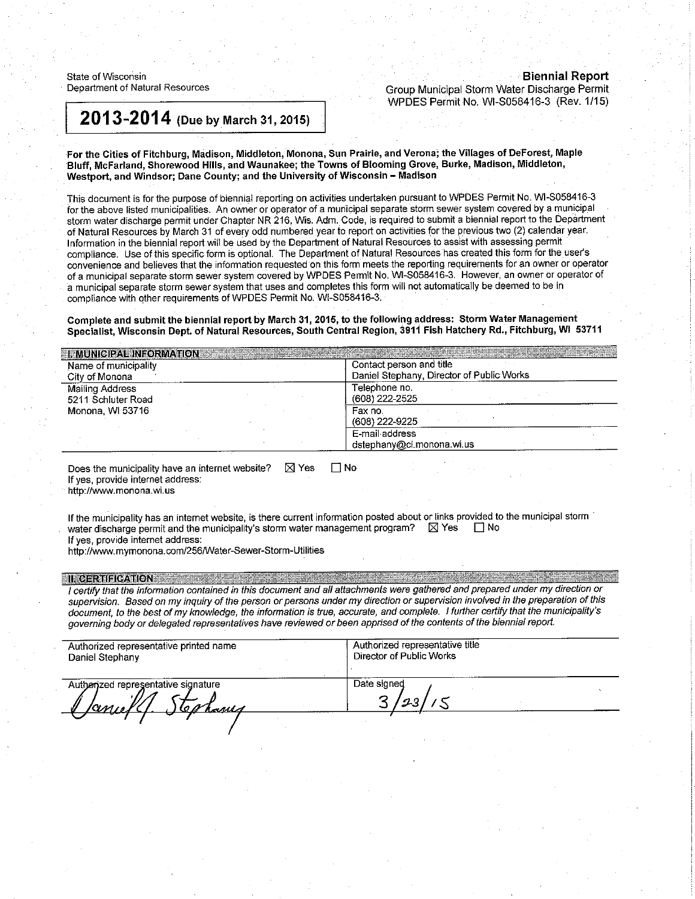State of Wisconsin Department of Natural Resources

# **Biennial Report**

Group Municipal Storm Water Discharge Permit WPDES Permit No. WI-S058416-3 (Rev. 1/15)

# 2013-2014 (Due by March 31, 2015)

For the Cities of Fitchburg, Madison, Middleton, Monona, Sun Prairie, and Verona; the Villages of DeForest, Maple Bluff, McFarland, Shorewood Hills, and Waunakee; the Towns of Blooming Grove, Burke, Madison, Middleton, Westport, and Windsor; Dane County; and the University of Wisconsin - Madison

This document is for the purpose of biennial reporting on activities undertaken pursuant to WPDES Permit No. WI-S058416-3 for the above listed municipalities. An owner or operator of a municipal separate storm sewer system covered by a municipal storm water discharge permit under Chapter NR 216, Wis. Adm. Code, is required to submit a biennial report to the Department of Natural Resources by March 31 of every odd numbered year to report on activities for the previous two (2) calendar year. Information in the biennial report will be used by the Department of Natural Resources to assist with assessing permit compliance. Use of this specific form is optional. The Department of Natural Resources has created this form for the user's convenience and believes that the information requested on this form meets the reporting requirements for an owner or operator of a municipal separate storm sewer system covered by WPDES Permit No. WI-S058416-3. However, an owner or operator of a municipal separate storm sewer system that uses and completes this form will not automatically be deemed to be in compliance with other requirements of WPDES Permit No. WI-S058416-3.

Complete and submit the biennial report by March 31, 2015, to the following address: Storm Water Management Specialist, Wisconsin Dept. of Natural Resources, South Central Region, 3911 Fish Hatchery Rd., Fitchburg, WI 53711

| <b>I. MUNICIPAL INFORMATION AND RELEASED</b><br>Name of municipality<br>City of Monona | Contact person and title<br>Daniel Stephany, Director of Public Works |
|----------------------------------------------------------------------------------------|-----------------------------------------------------------------------|
| Mailing Address<br>5211 Schluter Road                                                  | Telephone no.<br>(608) 222-2525                                       |
| Monona, WI 53716                                                                       | Fax no.<br>(608) 222-9225                                             |
|                                                                                        | E-mail address<br>dstephany@ci.monona.wi.us                           |

Does the municipality have an internet website? **X** Yes  $\Box$  No If yes, provide internet address:

http://www.monona.wi.us

If the municipality has an internet website, is there current information posted about or links provided to the municipal storm water discharge permit and the municipality's storm water management program?  $\boxtimes$  Yes ⊡ No If yes, provide internet address:

http://www.mymonona.com/256/Water-Sewer-Storm-Utilities

#### **II. CERTIFICATION**

I certify that the information contained in this document and all attachments were gathered and prepared under my direction or supervision. Based on my inquiry of the person or persons under my direction or supervision involved in the preparation of this document, to the best of my knowledge, the information is true, accurate, and complete. I further certify that the municipality's governing body or delegated representatives have reviewed or been apprised of the contents of the biennial report.

| Authorized representative printed name              | Authorized representative title |  |  |
|-----------------------------------------------------|---------------------------------|--|--|
| Daniel Stephany                                     | Director of Public Works        |  |  |
| Authorized representative signature<br><u>hamin</u> | Date signed                     |  |  |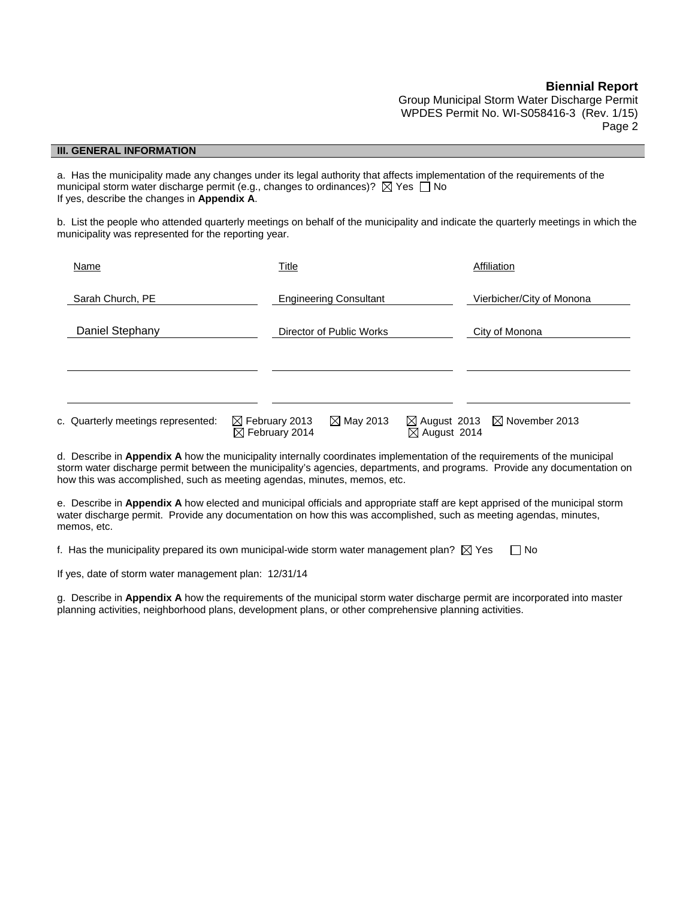Group Municipal Storm Water Discharge Permit WPDES Permit No. WI-S058416-3 (Rev. 1/15) Page 2

#### **III. GENERAL INFORMATION**

a. Has the municipality made any changes under its legal authority that affects implementation of the requirements of the municipal storm water discharge permit (e.g., changes to ordinances)?  $\boxtimes$  Yes  $\Box$  No If yes, describe the changes in **Appendix A**.

b. List the people who attended quarterly meetings on behalf of the municipality and indicate the quarterly meetings in which the municipality was represented for the reporting year.

| Name                                                                                                                            | Title                                                  |                               |                         | Affiliation                                       |
|---------------------------------------------------------------------------------------------------------------------------------|--------------------------------------------------------|-------------------------------|-------------------------|---------------------------------------------------|
| Sarah Church, PE                                                                                                                |                                                        | <b>Engineering Consultant</b> |                         | Vierbicher/City of Monona                         |
| Daniel Stephany                                                                                                                 |                                                        | Director of Public Works      |                         | City of Monona                                    |
|                                                                                                                                 |                                                        |                               |                         |                                                   |
| c. Quarterly meetings represented:                                                                                              | $\boxtimes$ February 2013<br>$\boxtimes$ February 2014 | $\boxtimes$ May 2013          | $\boxtimes$ August 2014 | $\boxtimes$ August 2013 $\boxtimes$ November 2013 |
| d Describe in <b>Appendix A</b> how the municipality internally coordinates implementation of the requirements of the municipal |                                                        |                               |                         |                                                   |

d. Describe in **Appendix A** how the municipality internally coordinates implementation of the requirements of the municipality of the municipality of the municipality of the municipality of the municipality of the municipa storm water discharge permit between the municipality's agencies, departments, and programs. Provide any documentation on how this was accomplished, such as meeting agendas, minutes, memos, etc.

e. Describe in **Appendix A** how elected and municipal officials and appropriate staff are kept apprised of the municipal storm water discharge permit. Provide any documentation on how this was accomplished, such as meeting agendas, minutes, memos, etc.

f. Has the municipality prepared its own municipal-wide storm water management plan?  $\boxtimes$  Yes  $\Box$  No

If yes, date of storm water management plan: 12/31/14

g. Describe in **Appendix A** how the requirements of the municipal storm water discharge permit are incorporated into master planning activities, neighborhood plans, development plans, or other comprehensive planning activities.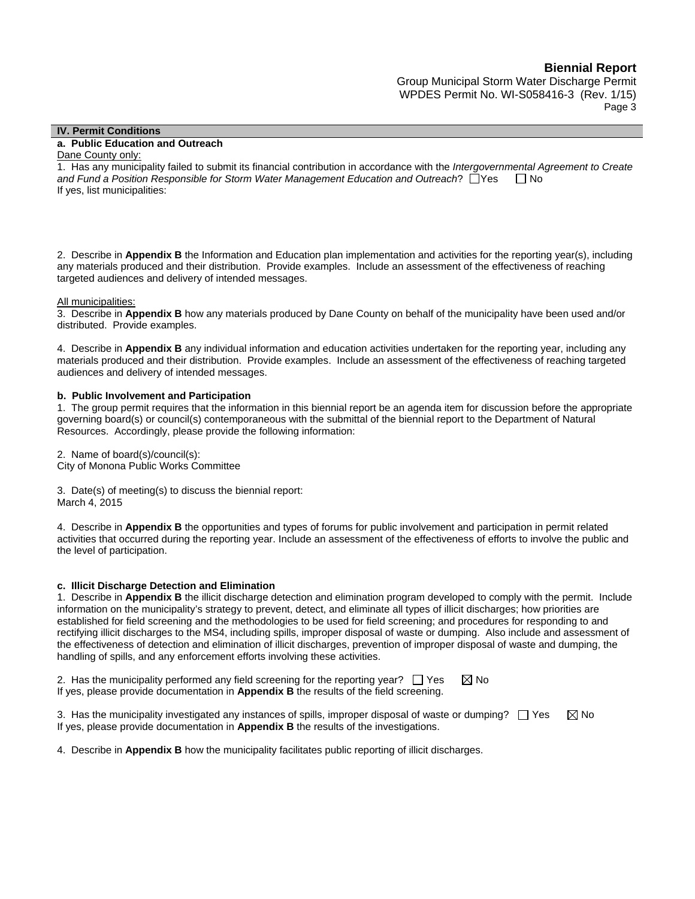Group Municipal Storm Water Discharge Permit WPDES Permit No. WI-S058416-3 (Rev. 1/15) Page 3

#### **IV. Permit Conditions**

#### **a. Public Education and Outreach**

#### Dane County only:

1. Has any municipality failed to submit its financial contribution in accordance with the *Intergovernmental Agreement to Create*  and Fund a Position Responsible for Storm Water Management Education and Outreach?  $\Box$  Yes  $\Box$  No If yes, list municipalities:

2. Describe in **Appendix B** the Information and Education plan implementation and activities for the reporting year(s), including any materials produced and their distribution. Provide examples. Include an assessment of the effectiveness of reaching targeted audiences and delivery of intended messages.

#### All municipalities:

3. Describe in **Appendix B** how any materials produced by Dane County on behalf of the municipality have been used and/or distributed. Provide examples.

4. Describe in **Appendix B** any individual information and education activities undertaken for the reporting year, including any materials produced and their distribution. Provide examples. Include an assessment of the effectiveness of reaching targeted audiences and delivery of intended messages.

#### **b. Public Involvement and Participation**

1. The group permit requires that the information in this biennial report be an agenda item for discussion before the appropriate governing board(s) or council(s) contemporaneous with the submittal of the biennial report to the Department of Natural Resources. Accordingly, please provide the following information:

2. Name of board(s)/council(s): City of Monona Public Works Committee

3. Date(s) of meeting(s) to discuss the biennial report: March 4, 2015

4. Describe in **Appendix B** the opportunities and types of forums for public involvement and participation in permit related activities that occurred during the reporting year. Include an assessment of the effectiveness of efforts to involve the public and the level of participation.

#### **c. Illicit Discharge Detection and Elimination**

1. Describe in **Appendix B** the illicit discharge detection and elimination program developed to comply with the permit. Include information on the municipality's strategy to prevent, detect, and eliminate all types of illicit discharges; how priorities are established for field screening and the methodologies to be used for field screening; and procedures for responding to and rectifying illicit discharges to the MS4, including spills, improper disposal of waste or dumping. Also include and assessment of the effectiveness of detection and elimination of illicit discharges, prevention of improper disposal of waste and dumping, the handling of spills, and any enforcement efforts involving these activities.

2. Has the municipality performed any field screening for the reporting year?  $\Box$  Yes  $\boxtimes$  No If yes, please provide documentation in **Appendix B** the results of the field screening.

3. Has the municipality investigated any instances of spills, improper disposal of waste or dumping?  $\Box$  Yes  $\boxtimes$  No If yes, please provide documentation in **Appendix B** the results of the investigations.

4. Describe in **Appendix B** how the municipality facilitates public reporting of illicit discharges.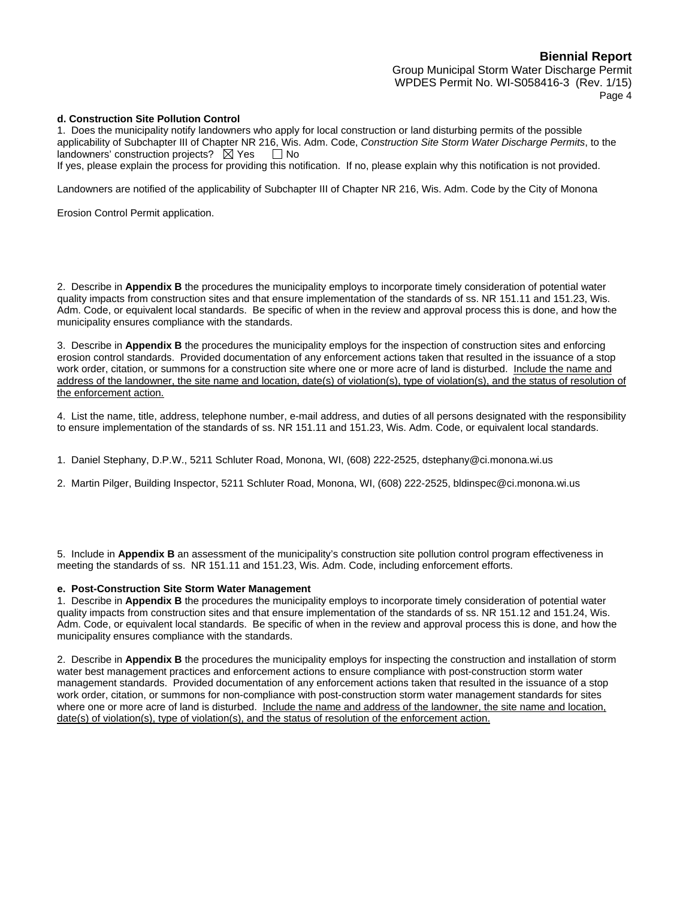Group Municipal Storm Water Discharge Permit WPDES Permit No. WI-S058416-3 (Rev. 1/15) Page 4

#### **d. Construction Site Pollution Control**

1. Does the municipality notify landowners who apply for local construction or land disturbing permits of the possible applicability of Subchapter III of Chapter NR 216, Wis. Adm. Code, *Construction Site Storm Water Discharge Permits*, to the landowners' construction projects?  $\boxtimes$  Yes  $\Box$  No

If yes, please explain the process for providing this notification. If no, please explain why this notification is not provided.

Landowners are notified of the applicability of Subchapter III of Chapter NR 216, Wis. Adm. Code by the City of Monona

Erosion Control Permit application.

2. Describe in **Appendix B** the procedures the municipality employs to incorporate timely consideration of potential water quality impacts from construction sites and that ensure implementation of the standards of ss. NR 151.11 and 151.23, Wis. Adm. Code, or equivalent local standards. Be specific of when in the review and approval process this is done, and how the municipality ensures compliance with the standards.

3. Describe in **Appendix B** the procedures the municipality employs for the inspection of construction sites and enforcing erosion control standards. Provided documentation of any enforcement actions taken that resulted in the issuance of a stop work order, citation, or summons for a construction site where one or more acre of land is disturbed. Include the name and address of the landowner, the site name and location, date(s) of violation(s), type of violation(s), and the status of resolution of the enforcement action.

4. List the name, title, address, telephone number, e-mail address, and duties of all persons designated with the responsibility to ensure implementation of the standards of ss. NR 151.11 and 151.23, Wis. Adm. Code, or equivalent local standards.

1. Daniel Stephany, D.P.W., 5211 Schluter Road, Monona, WI, (608) 222-2525, dstephany@ci.monona.wi.us

2. Martin Pilger, Building Inspector, 5211 Schluter Road, Monona, WI, (608) 222-2525, bldinspec@ci.monona.wi.us

5. Include in **Appendix B** an assessment of the municipality's construction site pollution control program effectiveness in meeting the standards of ss. NR 151.11 and 151.23, Wis. Adm. Code, including enforcement efforts.

#### **e. Post-Construction Site Storm Water Management**

1. Describe in **Appendix B** the procedures the municipality employs to incorporate timely consideration of potential water quality impacts from construction sites and that ensure implementation of the standards of ss. NR 151.12 and 151.24, Wis. Adm. Code, or equivalent local standards. Be specific of when in the review and approval process this is done, and how the municipality ensures compliance with the standards.

2. Describe in **Appendix B** the procedures the municipality employs for inspecting the construction and installation of storm water best management practices and enforcement actions to ensure compliance with post-construction storm water management standards. Provided documentation of any enforcement actions taken that resulted in the issuance of a stop work order, citation, or summons for non-compliance with post-construction storm water management standards for sites where one or more acre of land is disturbed. Include the name and address of the landowner, the site name and location, date(s) of violation(s), type of violation(s), and the status of resolution of the enforcement action.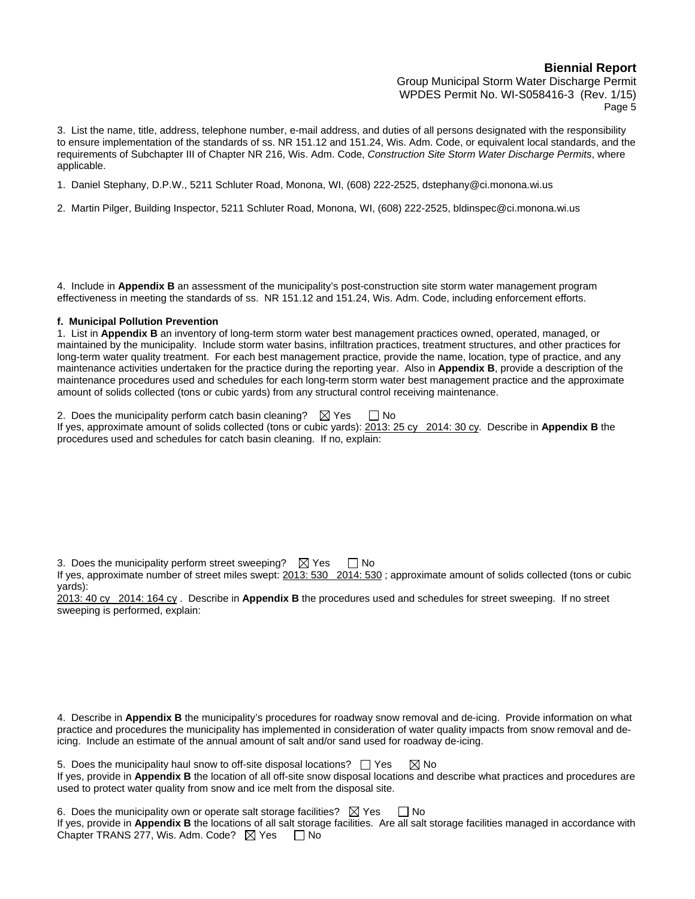Group Municipal Storm Water Discharge Permit WPDES Permit No. WI-S058416-3 (Rev. 1/15) Page 5

3. List the name, title, address, telephone number, e-mail address, and duties of all persons designated with the responsibility to ensure implementation of the standards of ss. NR 151.12 and 151.24, Wis. Adm. Code, or equivalent local standards, and the requirements of Subchapter III of Chapter NR 216, Wis. Adm. Code, *Construction Site Storm Water Discharge Permits*, where applicable.

- 1. Daniel Stephany, D.P.W., 5211 Schluter Road, Monona, WI, (608) 222-2525, dstephany@ci.monona.wi.us
- 2. Martin Pilger, Building Inspector, 5211 Schluter Road, Monona, WI, (608) 222-2525, bldinspec@ci.monona.wi.us

4. Include in **Appendix B** an assessment of the municipality's post-construction site storm water management program effectiveness in meeting the standards of ss. NR 151.12 and 151.24, Wis. Adm. Code, including enforcement efforts.

#### **f. Municipal Pollution Prevention**

1. List in **Appendix B** an inventory of long-term storm water best management practices owned, operated, managed, or maintained by the municipality. Include storm water basins, infiltration practices, treatment structures, and other practices for long-term water quality treatment. For each best management practice, provide the name, location, type of practice, and any maintenance activities undertaken for the practice during the reporting year. Also in **Appendix B**, provide a description of the maintenance procedures used and schedules for each long-term storm water best management practice and the approximate amount of solids collected (tons or cubic yards) from any structural control receiving maintenance.

2. Does the municipality perform catch basin cleaning?  $\boxtimes$  Yes  $\Box$  No If yes, approximate amount of solids collected (tons or cubic yards): 2013: 25 cy 2014: 30 cy. Describe in **Appendix B** the procedures used and schedules for catch basin cleaning. If no, explain:

3. Does the municipality perform street sweeping?  $\boxtimes$  Yes  $\Box$  No

If yes, approximate number of street miles swept: 2013: 530 2014: 530 ; approximate amount of solids collected (tons or cubic yards):

2013: 40 cy 2014: 164 cy . Describe in **Appendix B** the procedures used and schedules for street sweeping. If no street sweeping is performed, explain:

4. Describe in **Appendix B** the municipality's procedures for roadway snow removal and de-icing. Provide information on what practice and procedures the municipality has implemented in consideration of water quality impacts from snow removal and deicing. Include an estimate of the annual amount of salt and/or sand used for roadway de-icing.

5. Does the municipality haul snow to off-site disposal locations?  $\Box$  Yes  $\boxtimes$  No If yes, provide in **Appendix B** the location of all off-site snow disposal locations and describe what practices and procedures are used to protect water quality from snow and ice melt from the disposal site.

6. Does the municipality own or operate salt storage facilities?  $\boxtimes$  Yes  $\Box$  No If yes, provide in **Appendix B** the locations of all salt storage facilities. Are all salt storage facilities managed in accordance with Chapter TRANS 277, Wis. Adm. Code?  $\boxtimes$  Yes  $\Box$  No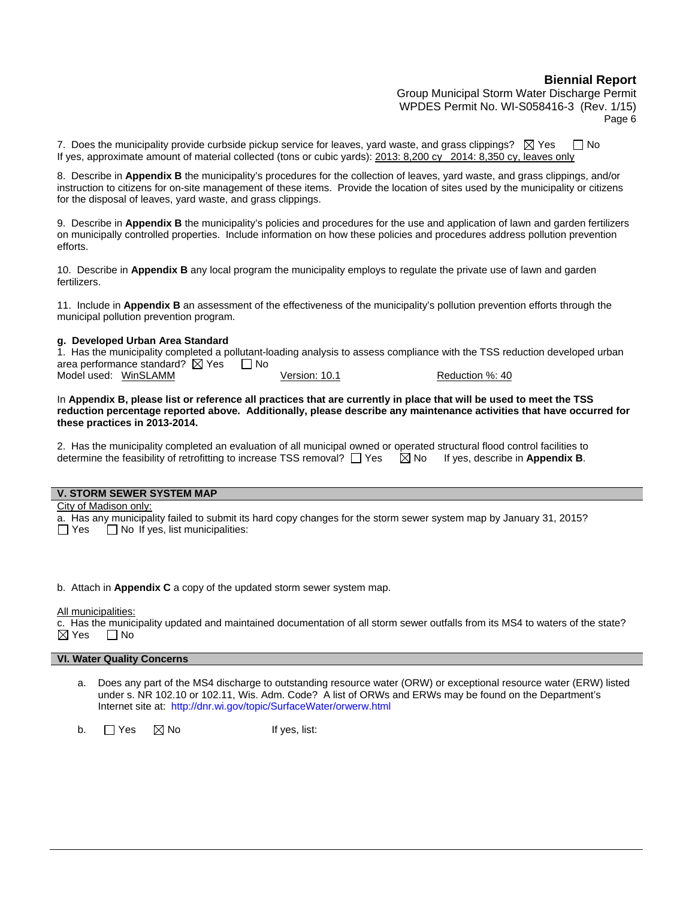Group Municipal Storm Water Discharge Permit WPDES Permit No. WI-S058416-3 (Rev. 1/15) Page 6

7. Does the municipality provide curbside pickup service for leaves, yard waste, and grass clippings?  $\boxtimes$  Yes  $\Box$  No If yes, approximate amount of material collected (tons or cubic yards): 2013: 8,200 cy 2014: 8,350 cy, leaves only

8. Describe in **Appendix B** the municipality's procedures for the collection of leaves, yard waste, and grass clippings, and/or instruction to citizens for on-site management of these items. Provide the location of sites used by the municipality or citizens for the disposal of leaves, yard waste, and grass clippings.

9. Describe in **Appendix B** the municipality's policies and procedures for the use and application of lawn and garden fertilizers on municipally controlled properties. Include information on how these policies and procedures address pollution prevention efforts.

10. Describe in **Appendix B** any local program the municipality employs to regulate the private use of lawn and garden fertilizers.

11. Include in **Appendix B** an assessment of the effectiveness of the municipality's pollution prevention efforts through the municipal pollution prevention program.

#### **g. Developed Urban Area Standard**

1. Has the municipality completed a pollutant-loading analysis to assess compliance with the TSS reduction developed urban area performance standard?  $\boxtimes$  Yes  $\Box$  No Model used: WinSLAMM Version: 10.1 Reduction %: 40

In **Appendix B, please list or reference all practices that are currently in place that will be used to meet the TSS reduction percentage reported above. Additionally, please describe any maintenance activities that have occurred for these practices in 2013-2014.** 

2. Has the municipality completed an evaluation of all municipal owned or operated structural flood control facilities to determine the feasibility of retrofitting to increase TSS removal?  $\Box$  Yes  $\Box$  No If yes, describe in **Appendix B**.

| <b>V. STORM SEWER SYSTEM MAP</b>                                                                                   |
|--------------------------------------------------------------------------------------------------------------------|
| City of Madison only:                                                                                              |
| a. Has any municipality failed to submit its hard copy changes for the storm sewer system map by January 31, 2015? |

 $\Box$  Yes  $\Box$  No If yes, list municipalities:

b. Attach in **Appendix C** a copy of the updated storm sewer system map.

All municipalities:

c. Has the municipality updated and maintained documentation of all storm sewer outfalls from its MS4 to waters of the state?  $\boxtimes$  Yes  $\qquad \Box$  No

#### **VI. Water Quality Concerns**

a. Does any part of the MS4 discharge to outstanding resource water (ORW) or exceptional resource water (ERW) listed under s. NR 102.10 or 102.11, Wis. Adm. Code? A list of ORWs and ERWs may be found on the Department's Internet site at: http://dnr.wi.gov/topic/SurfaceWater/orwerw.html

b.  $\Box$  Yes  $\Box$  No If yes, list: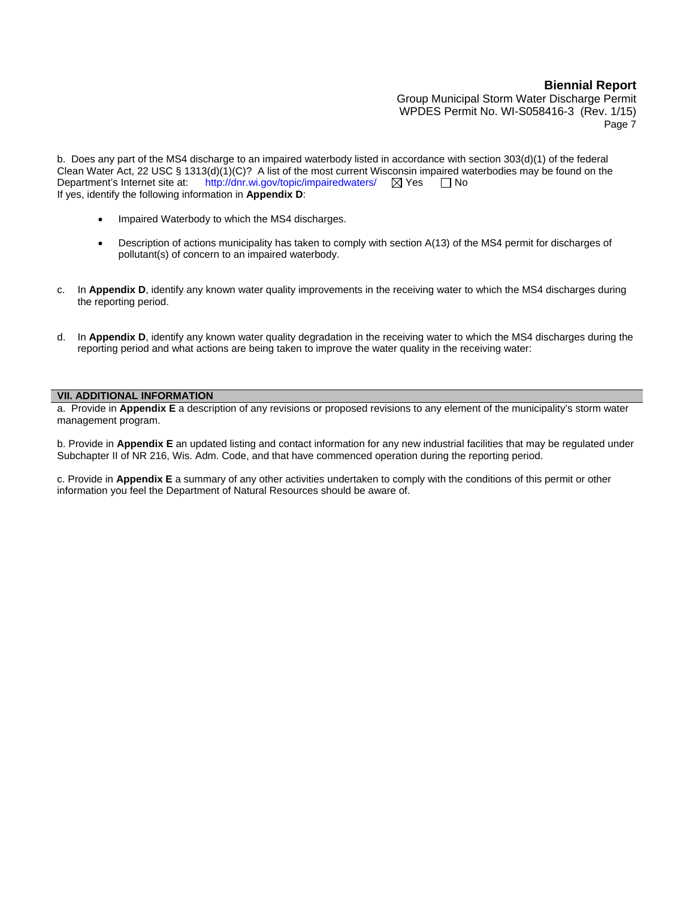Group Municipal Storm Water Discharge Permit WPDES Permit No. WI-S058416-3 (Rev. 1/15) Page 7

b. Does any part of the MS4 discharge to an impaired waterbody listed in accordance with section 303(d)(1) of the federal Clean Water Act, 22 USC § 1313(d)(1)(C)? A list of the most current Wisconsin impaired waterbodies may be found on the Department's Internet site at: http://dnr.wi.gov/topic/impairedwaters/  $\boxtimes$  Yes  $\Box$  No If yes, identify the following information in **Appendix D**:

- Impaired Waterbody to which the MS4 discharges.
- Description of actions municipality has taken to comply with section A(13) of the MS4 permit for discharges of pollutant(s) of concern to an impaired waterbody.
- c. In **Appendix D**, identify any known water quality improvements in the receiving water to which the MS4 discharges during the reporting period.
- d. In **Appendix D**, identify any known water quality degradation in the receiving water to which the MS4 discharges during the reporting period and what actions are being taken to improve the water quality in the receiving water:

#### **VII. ADDITIONAL INFORMATION**

a. Provide in **Appendix E** a description of any revisions or proposed revisions to any element of the municipality's storm water management program.

b. Provide in **Appendix E** an updated listing and contact information for any new industrial facilities that may be regulated under Subchapter II of NR 216, Wis. Adm. Code, and that have commenced operation during the reporting period.

c. Provide in **Appendix E** a summary of any other activities undertaken to comply with the conditions of this permit or other information you feel the Department of Natural Resources should be aware of.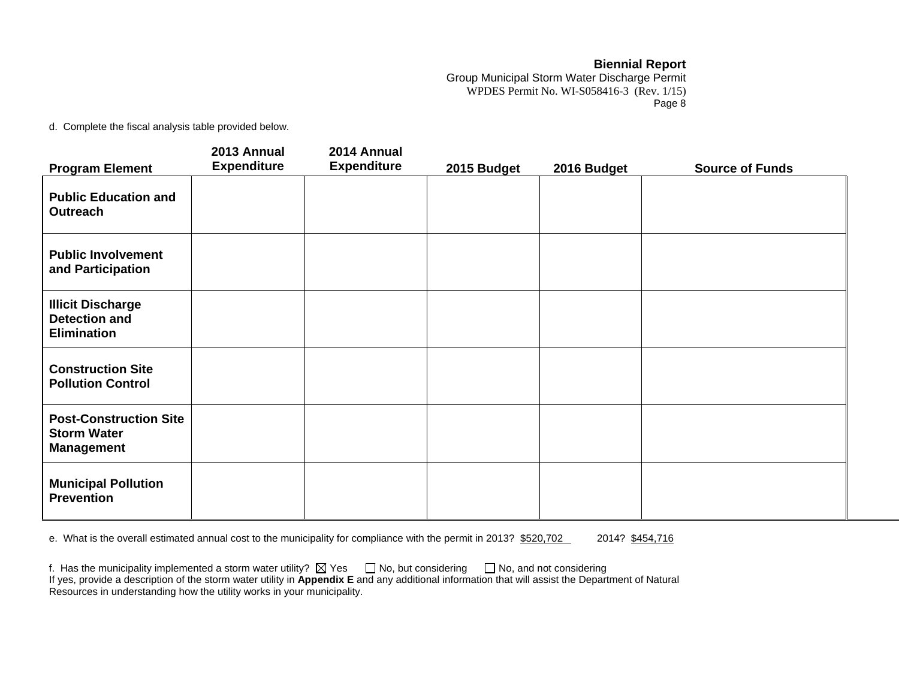Group Municipal Storm Water Discharge Permit WPDES Permit No. WI-S058416-3 (Rev. 1/15) Page 8

d. Complete the fiscal analysis table provided below.

|                                                                          | 2013 Annual        | 2014 Annual        |             |             |                        |
|--------------------------------------------------------------------------|--------------------|--------------------|-------------|-------------|------------------------|
| <b>Program Element</b>                                                   | <b>Expenditure</b> | <b>Expenditure</b> | 2015 Budget | 2016 Budget | <b>Source of Funds</b> |
| <b>Public Education and</b><br>Outreach                                  |                    |                    |             |             |                        |
| <b>Public Involvement</b><br>and Participation                           |                    |                    |             |             |                        |
| <b>Illicit Discharge</b><br><b>Detection and</b><br><b>Elimination</b>   |                    |                    |             |             |                        |
| <b>Construction Site</b><br><b>Pollution Control</b>                     |                    |                    |             |             |                        |
| <b>Post-Construction Site</b><br><b>Storm Water</b><br><b>Management</b> |                    |                    |             |             |                        |
| <b>Municipal Pollution</b><br><b>Prevention</b>                          |                    |                    |             |             |                        |

e. What is the overall estimated annual cost to the municipality for compliance with the permit in 2013? \$520,702 2014? \$454,716

| f. Has the municipality implemented a storm water utility? $\boxtimes$ Yes $\Box$ No, but considering $\Box$ No, and not considering             |  |
|--------------------------------------------------------------------------------------------------------------------------------------------------|--|
| If yes, provide a description of the storm water utility in Appendix E and any additional information that will assist the Department of Natural |  |
| Resources in understanding how the utility works in your municipality.                                                                           |  |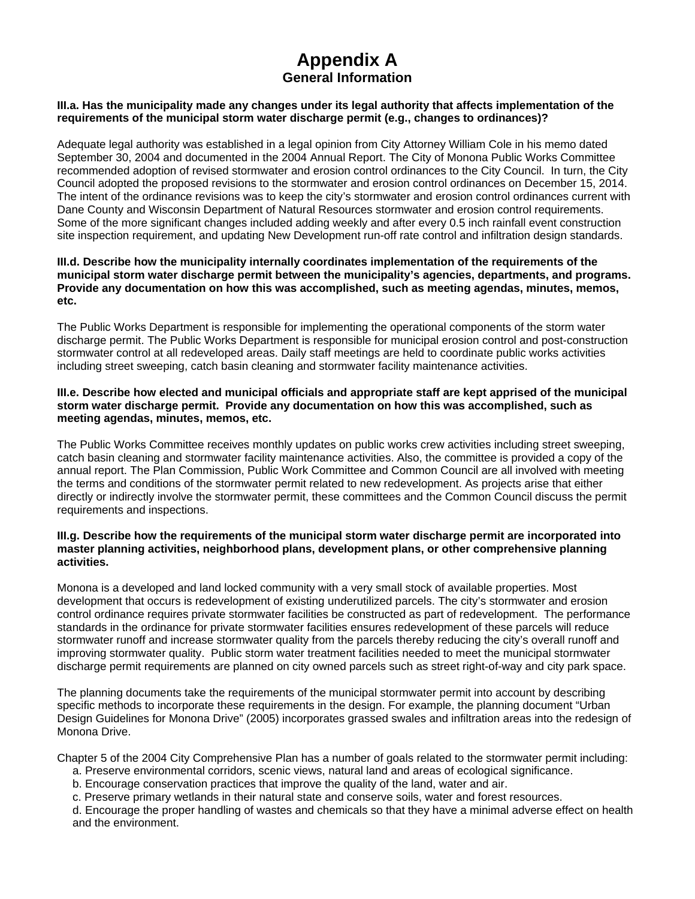## **Appendix A General Information**

#### **III.a. Has the municipality made any changes under its legal authority that affects implementation of the requirements of the municipal storm water discharge permit (e.g., changes to ordinances)?**

Adequate legal authority was established in a legal opinion from City Attorney William Cole in his memo dated September 30, 2004 and documented in the 2004 Annual Report. The City of Monona Public Works Committee recommended adoption of revised stormwater and erosion control ordinances to the City Council. In turn, the City Council adopted the proposed revisions to the stormwater and erosion control ordinances on December 15, 2014. The intent of the ordinance revisions was to keep the city's stormwater and erosion control ordinances current with Dane County and Wisconsin Department of Natural Resources stormwater and erosion control requirements. Some of the more significant changes included adding weekly and after every 0.5 inch rainfall event construction site inspection requirement, and updating New Development run-off rate control and infiltration design standards.

#### **III.d. Describe how the municipality internally coordinates implementation of the requirements of the municipal storm water discharge permit between the municipality's agencies, departments, and programs. Provide any documentation on how this was accomplished, such as meeting agendas, minutes, memos, etc.**

The Public Works Department is responsible for implementing the operational components of the storm water discharge permit. The Public Works Department is responsible for municipal erosion control and post-construction stormwater control at all redeveloped areas. Daily staff meetings are held to coordinate public works activities including street sweeping, catch basin cleaning and stormwater facility maintenance activities.

#### **III.e. Describe how elected and municipal officials and appropriate staff are kept apprised of the municipal storm water discharge permit. Provide any documentation on how this was accomplished, such as meeting agendas, minutes, memos, etc.**

The Public Works Committee receives monthly updates on public works crew activities including street sweeping, catch basin cleaning and stormwater facility maintenance activities. Also, the committee is provided a copy of the annual report. The Plan Commission, Public Work Committee and Common Council are all involved with meeting the terms and conditions of the stormwater permit related to new redevelopment. As projects arise that either directly or indirectly involve the stormwater permit, these committees and the Common Council discuss the permit requirements and inspections.

#### **III.g. Describe how the requirements of the municipal storm water discharge permit are incorporated into master planning activities, neighborhood plans, development plans, or other comprehensive planning activities.**

Monona is a developed and land locked community with a very small stock of available properties. Most development that occurs is redevelopment of existing underutilized parcels. The city's stormwater and erosion control ordinance requires private stormwater facilities be constructed as part of redevelopment. The performance standards in the ordinance for private stormwater facilities ensures redevelopment of these parcels will reduce stormwater runoff and increase stormwater quality from the parcels thereby reducing the city's overall runoff and improving stormwater quality. Public storm water treatment facilities needed to meet the municipal stormwater discharge permit requirements are planned on city owned parcels such as street right-of-way and city park space.

The planning documents take the requirements of the municipal stormwater permit into account by describing specific methods to incorporate these requirements in the design. For example, the planning document "Urban Design Guidelines for Monona Drive" (2005) incorporates grassed swales and infiltration areas into the redesign of Monona Drive.

Chapter 5 of the 2004 City Comprehensive Plan has a number of goals related to the stormwater permit including:

- a. Preserve environmental corridors, scenic views, natural land and areas of ecological significance.
- b. Encourage conservation practices that improve the quality of the land, water and air.
- c. Preserve primary wetlands in their natural state and conserve soils, water and forest resources.

d. Encourage the proper handling of wastes and chemicals so that they have a minimal adverse effect on health and the environment.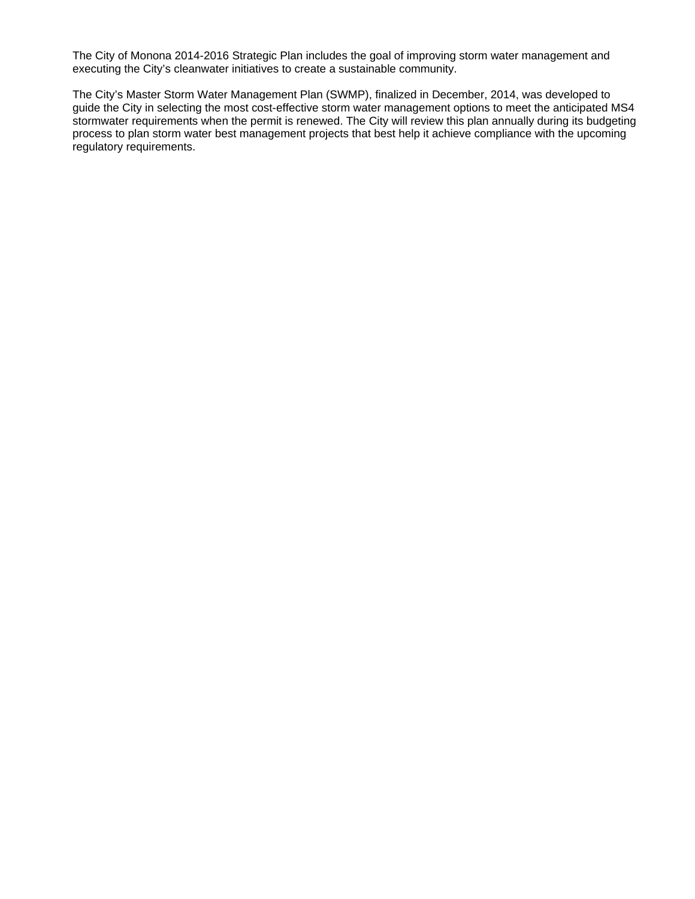The City of Monona 2014-2016 Strategic Plan includes the goal of improving storm water management and executing the City's cleanwater initiatives to create a sustainable community.

The City's Master Storm Water Management Plan (SWMP), finalized in December, 2014, was developed to guide the City in selecting the most cost-effective storm water management options to meet the anticipated MS4 stormwater requirements when the permit is renewed. The City will review this plan annually during its budgeting process to plan storm water best management projects that best help it achieve compliance with the upcoming regulatory requirements.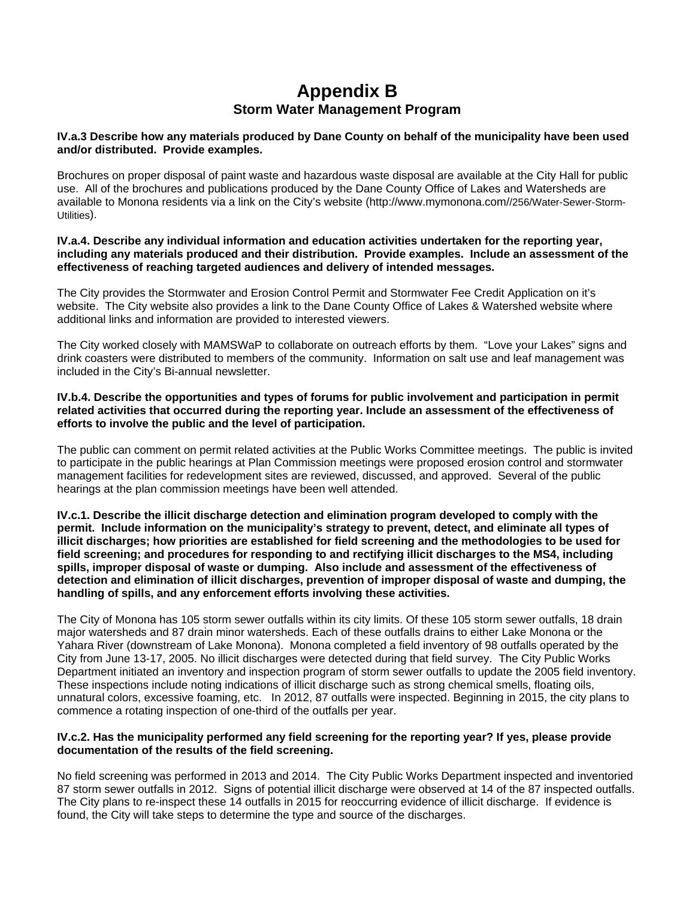# **Appendix B Storm Water Management Program**

#### **IV.a.3 Describe how any materials produced by Dane County on behalf of the municipality have been used and/or distributed. Provide examples.**

Brochures on proper disposal of paint waste and hazardous waste disposal are available at the City Hall for public use. All of the brochures and publications produced by the Dane County Office of Lakes and Watersheds are available to Monona residents via a link on the City's website (http://www.mymonona.com//256/Water-Sewer-Storm-Utilities).

#### **IV.a.4. Describe any individual information and education activities undertaken for the reporting year, including any materials produced and their distribution. Provide examples. Include an assessment of the effectiveness of reaching targeted audiences and delivery of intended messages.**

The City provides the Stormwater and Erosion Control Permit and Stormwater Fee Credit Application on it's website. The City website also provides a link to the Dane County Office of Lakes & Watershed website where additional links and information are provided to interested viewers.

The City worked closely with MAMSWaP to collaborate on outreach efforts by them. "Love your Lakes" signs and drink coasters were distributed to members of the community. Information on salt use and leaf management was included in the City's Bi-annual newsletter.

#### **IV.b.4. Describe the opportunities and types of forums for public involvement and participation in permit related activities that occurred during the reporting year. Include an assessment of the effectiveness of efforts to involve the public and the level of participation.**

The public can comment on permit related activities at the Public Works Committee meetings. The public is invited to participate in the public hearings at Plan Commission meetings were proposed erosion control and stormwater management facilities for redevelopment sites are reviewed, discussed, and approved. Several of the public hearings at the plan commission meetings have been well attended.

#### **IV.c.1. Describe the illicit discharge detection and elimination program developed to comply with the permit. Include information on the municipality's strategy to prevent, detect, and eliminate all types of illicit discharges; how priorities are established for field screening and the methodologies to be used for field screening; and procedures for responding to and rectifying illicit discharges to the MS4, including spills, improper disposal of waste or dumping. Also include and assessment of the effectiveness of detection and elimination of illicit discharges, prevention of improper disposal of waste and dumping, the handling of spills, and any enforcement efforts involving these activities.**

The City of Monona has 105 storm sewer outfalls within its city limits. Of these 105 storm sewer outfalls, 18 drain major watersheds and 87 drain minor watersheds. Each of these outfalls drains to either Lake Monona or the Yahara River (downstream of Lake Monona). Monona completed a field inventory of 98 outfalls operated by the City from June 13-17, 2005. No illicit discharges were detected during that field survey. The City Public Works Department initiated an inventory and inspection program of storm sewer outfalls to update the 2005 field inventory. These inspections include noting indications of illicit discharge such as strong chemical smells, floating oils, unnatural colors, excessive foaming, etc. In 2012, 87 outfalls were inspected. Beginning in 2015, the city plans to commence a rotating inspection of one-third of the outfalls per year.

## **IV.c.2. Has the municipality performed any field screening for the reporting year? If yes, please provide documentation of the results of the field screening.**

No field screening was performed in 2013 and 2014. The City Public Works Department inspected and inventoried 87 storm sewer outfalls in 2012. Signs of potential illicit discharge were observed at 14 of the 87 inspected outfalls. The City plans to re-inspect these 14 outfalls in 2015 for reoccurring evidence of illicit discharge. If evidence is found, the City will take steps to determine the type and source of the discharges.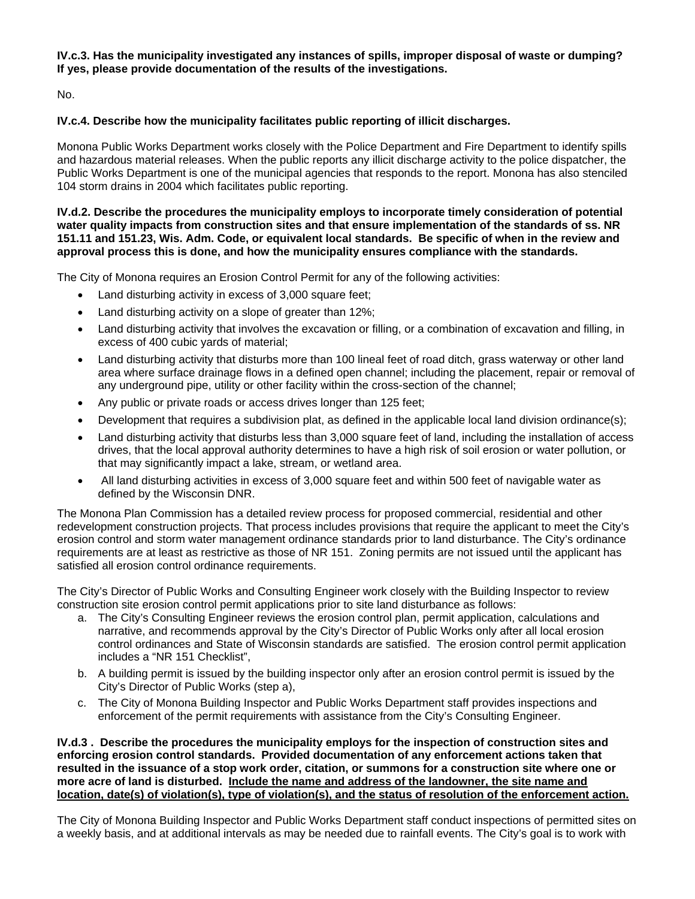## **IV.c.3. Has the municipality investigated any instances of spills, improper disposal of waste or dumping? If yes, please provide documentation of the results of the investigations.**

No.

## **IV.c.4. Describe how the municipality facilitates public reporting of illicit discharges.**

Monona Public Works Department works closely with the Police Department and Fire Department to identify spills and hazardous material releases. When the public reports any illicit discharge activity to the police dispatcher, the Public Works Department is one of the municipal agencies that responds to the report. Monona has also stenciled 104 storm drains in 2004 which facilitates public reporting.

**IV.d.2. Describe the procedures the municipality employs to incorporate timely consideration of potential water quality impacts from construction sites and that ensure implementation of the standards of ss. NR 151.11 and 151.23, Wis. Adm. Code, or equivalent local standards. Be specific of when in the review and approval process this is done, and how the municipality ensures compliance with the standards.** 

The City of Monona requires an Erosion Control Permit for any of the following activities:

- Land disturbing activity in excess of 3,000 square feet;
- Land disturbing activity on a slope of greater than 12%;
- Land disturbing activity that involves the excavation or filling, or a combination of excavation and filling, in excess of 400 cubic yards of material;
- Land disturbing activity that disturbs more than 100 lineal feet of road ditch, grass waterway or other land area where surface drainage flows in a defined open channel; including the placement, repair or removal of any underground pipe, utility or other facility within the cross-section of the channel;
- Any public or private roads or access drives longer than 125 feet;
- Development that requires a subdivision plat, as defined in the applicable local land division ordinance(s);
- Land disturbing activity that disturbs less than 3,000 square feet of land, including the installation of access drives, that the local approval authority determines to have a high risk of soil erosion or water pollution, or that may significantly impact a lake, stream, or wetland area.
- All land disturbing activities in excess of 3,000 square feet and within 500 feet of navigable water as defined by the Wisconsin DNR.

The Monona Plan Commission has a detailed review process for proposed commercial, residential and other redevelopment construction projects. That process includes provisions that require the applicant to meet the City's erosion control and storm water management ordinance standards prior to land disturbance. The City's ordinance requirements are at least as restrictive as those of NR 151. Zoning permits are not issued until the applicant has satisfied all erosion control ordinance requirements.

The City's Director of Public Works and Consulting Engineer work closely with the Building Inspector to review construction site erosion control permit applications prior to site land disturbance as follows:

- a. The City's Consulting Engineer reviews the erosion control plan, permit application, calculations and narrative, and recommends approval by the City's Director of Public Works only after all local erosion control ordinances and State of Wisconsin standards are satisfied. The erosion control permit application includes a "NR 151 Checklist",
- b. A building permit is issued by the building inspector only after an erosion control permit is issued by the City's Director of Public Works (step a),
- c. The City of Monona Building Inspector and Public Works Department staff provides inspections and enforcement of the permit requirements with assistance from the City's Consulting Engineer.

**IV.d.3 . Describe the procedures the municipality employs for the inspection of construction sites and enforcing erosion control standards. Provided documentation of any enforcement actions taken that resulted in the issuance of a stop work order, citation, or summons for a construction site where one or more acre of land is disturbed. Include the name and address of the landowner, the site name and location, date(s) of violation(s), type of violation(s), and the status of resolution of the enforcement action.**

The City of Monona Building Inspector and Public Works Department staff conduct inspections of permitted sites on a weekly basis, and at additional intervals as may be needed due to rainfall events. The City's goal is to work with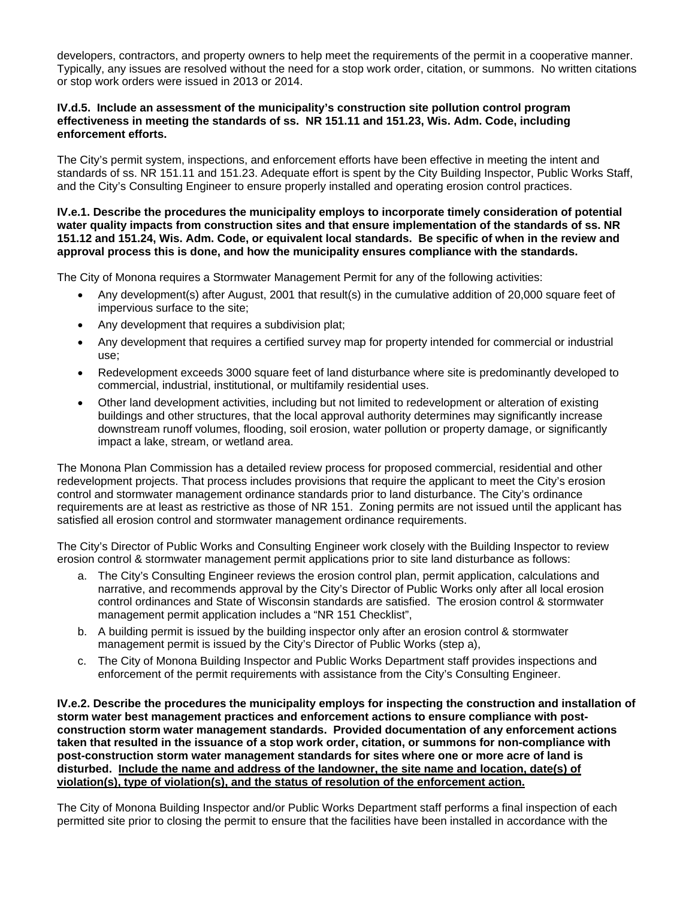developers, contractors, and property owners to help meet the requirements of the permit in a cooperative manner. Typically, any issues are resolved without the need for a stop work order, citation, or summons. No written citations or stop work orders were issued in 2013 or 2014.

#### **IV.d.5. Include an assessment of the municipality's construction site pollution control program effectiveness in meeting the standards of ss. NR 151.11 and 151.23, Wis. Adm. Code, including enforcement efforts.**

The City's permit system, inspections, and enforcement efforts have been effective in meeting the intent and standards of ss. NR 151.11 and 151.23. Adequate effort is spent by the City Building Inspector, Public Works Staff, and the City's Consulting Engineer to ensure properly installed and operating erosion control practices.

#### **IV.e.1. Describe the procedures the municipality employs to incorporate timely consideration of potential water quality impacts from construction sites and that ensure implementation of the standards of ss. NR 151.12 and 151.24, Wis. Adm. Code, or equivalent local standards. Be specific of when in the review and approval process this is done, and how the municipality ensures compliance with the standards.**

The City of Monona requires a Stormwater Management Permit for any of the following activities:

- Any development(s) after August, 2001 that result(s) in the cumulative addition of 20,000 square feet of impervious surface to the site;
- Any development that requires a subdivision plat;
- Any development that requires a certified survey map for property intended for commercial or industrial use;
- Redevelopment exceeds 3000 square feet of land disturbance where site is predominantly developed to commercial, industrial, institutional, or multifamily residential uses.
- Other land development activities, including but not limited to redevelopment or alteration of existing buildings and other structures, that the local approval authority determines may significantly increase downstream runoff volumes, flooding, soil erosion, water pollution or property damage, or significantly impact a lake, stream, or wetland area.

The Monona Plan Commission has a detailed review process for proposed commercial, residential and other redevelopment projects. That process includes provisions that require the applicant to meet the City's erosion control and stormwater management ordinance standards prior to land disturbance. The City's ordinance requirements are at least as restrictive as those of NR 151. Zoning permits are not issued until the applicant has satisfied all erosion control and stormwater management ordinance requirements.

The City's Director of Public Works and Consulting Engineer work closely with the Building Inspector to review erosion control & stormwater management permit applications prior to site land disturbance as follows:

- a. The City's Consulting Engineer reviews the erosion control plan, permit application, calculations and narrative, and recommends approval by the City's Director of Public Works only after all local erosion control ordinances and State of Wisconsin standards are satisfied. The erosion control & stormwater management permit application includes a "NR 151 Checklist",
- b. A building permit is issued by the building inspector only after an erosion control & stormwater management permit is issued by the City's Director of Public Works (step a),
- c. The City of Monona Building Inspector and Public Works Department staff provides inspections and enforcement of the permit requirements with assistance from the City's Consulting Engineer.

**IV.e.2. Describe the procedures the municipality employs for inspecting the construction and installation of storm water best management practices and enforcement actions to ensure compliance with postconstruction storm water management standards. Provided documentation of any enforcement actions taken that resulted in the issuance of a stop work order, citation, or summons for non-compliance with post-construction storm water management standards for sites where one or more acre of land is disturbed. Include the name and address of the landowner, the site name and location, date(s) of violation(s), type of violation(s), and the status of resolution of the enforcement action.**

The City of Monona Building Inspector and/or Public Works Department staff performs a final inspection of each permitted site prior to closing the permit to ensure that the facilities have been installed in accordance with the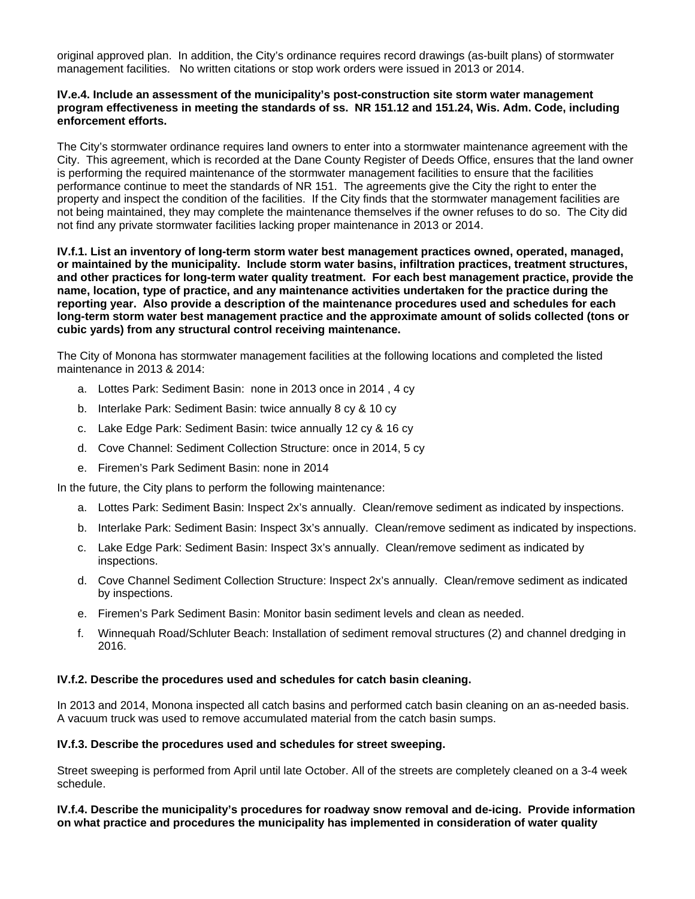original approved plan. In addition, the City's ordinance requires record drawings (as-built plans) of stormwater management facilities. No written citations or stop work orders were issued in 2013 or 2014.

#### **IV.e.4. Include an assessment of the municipality's post-construction site storm water management program effectiveness in meeting the standards of ss. NR 151.12 and 151.24, Wis. Adm. Code, including enforcement efforts.**

The City's stormwater ordinance requires land owners to enter into a stormwater maintenance agreement with the City. This agreement, which is recorded at the Dane County Register of Deeds Office, ensures that the land owner is performing the required maintenance of the stormwater management facilities to ensure that the facilities performance continue to meet the standards of NR 151. The agreements give the City the right to enter the property and inspect the condition of the facilities. If the City finds that the stormwater management facilities are not being maintained, they may complete the maintenance themselves if the owner refuses to do so. The City did not find any private stormwater facilities lacking proper maintenance in 2013 or 2014.

**IV.f.1. List an inventory of long-term storm water best management practices owned, operated, managed, or maintained by the municipality. Include storm water basins, infiltration practices, treatment structures, and other practices for long-term water quality treatment. For each best management practice, provide the name, location, type of practice, and any maintenance activities undertaken for the practice during the reporting year. Also provide a description of the maintenance procedures used and schedules for each long-term storm water best management practice and the approximate amount of solids collected (tons or cubic yards) from any structural control receiving maintenance.** 

The City of Monona has stormwater management facilities at the following locations and completed the listed maintenance in 2013 & 2014:

- a. Lottes Park: Sediment Basin: none in 2013 once in 2014 , 4 cy
- b. Interlake Park: Sediment Basin: twice annually 8 cy & 10 cy
- c. Lake Edge Park: Sediment Basin: twice annually 12 cy & 16 cy
- d. Cove Channel: Sediment Collection Structure: once in 2014, 5 cy
- e. Firemen's Park Sediment Basin: none in 2014

In the future, the City plans to perform the following maintenance:

- a. Lottes Park: Sediment Basin: Inspect 2x's annually. Clean/remove sediment as indicated by inspections.
- b. Interlake Park: Sediment Basin: Inspect 3x's annually. Clean/remove sediment as indicated by inspections.
- c. Lake Edge Park: Sediment Basin: Inspect 3x's annually. Clean/remove sediment as indicated by inspections.
- d. Cove Channel Sediment Collection Structure: Inspect 2x's annually. Clean/remove sediment as indicated by inspections.
- e. Firemen's Park Sediment Basin: Monitor basin sediment levels and clean as needed.
- f. Winnequah Road/Schluter Beach: Installation of sediment removal structures (2) and channel dredging in 2016.

#### **IV.f.2. Describe the procedures used and schedules for catch basin cleaning.**

In 2013 and 2014, Monona inspected all catch basins and performed catch basin cleaning on an as-needed basis. A vacuum truck was used to remove accumulated material from the catch basin sumps.

#### **IV.f.3. Describe the procedures used and schedules for street sweeping.**

Street sweeping is performed from April until late October. All of the streets are completely cleaned on a 3-4 week schedule.

**IV.f.4. Describe the municipality's procedures for roadway snow removal and de-icing. Provide information on what practice and procedures the municipality has implemented in consideration of water quality**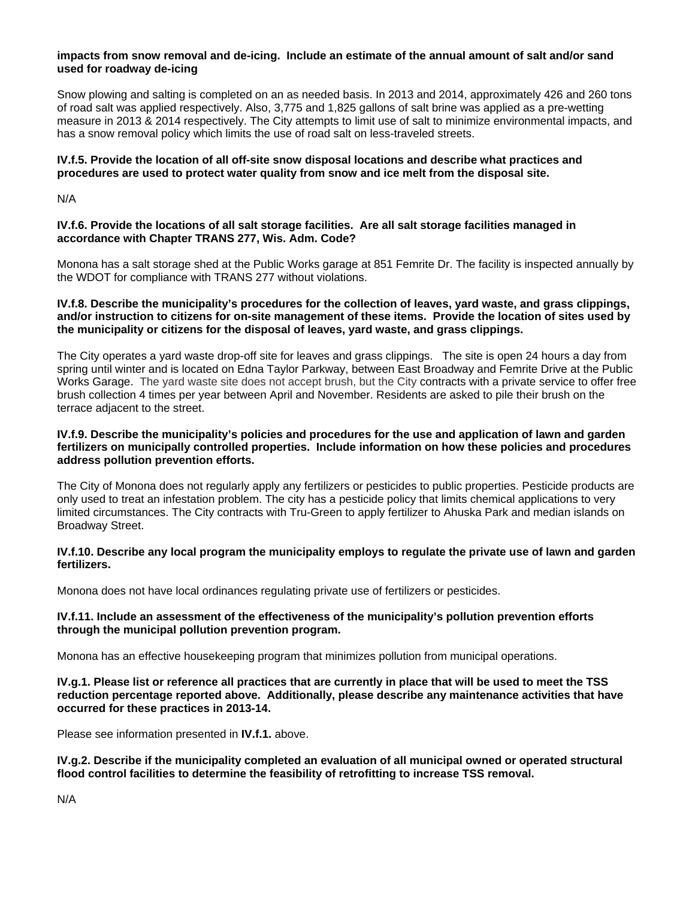#### **impacts from snow removal and de-icing. Include an estimate of the annual amount of salt and/or sand used for roadway de-icing**

Snow plowing and salting is completed on an as needed basis. In 2013 and 2014, approximately 426 and 260 tons of road salt was applied respectively. Also, 3,775 and 1,825 gallons of salt brine was applied as a pre-wetting measure in 2013 & 2014 respectively. The City attempts to limit use of salt to minimize environmental impacts, and has a snow removal policy which limits the use of road salt on less-traveled streets.

## **IV.f.5. Provide the location of all off-site snow disposal locations and describe what practices and procedures are used to protect water quality from snow and ice melt from the disposal site.**

N/A

## **IV.f.6. Provide the locations of all salt storage facilities. Are all salt storage facilities managed in accordance with Chapter TRANS 277, Wis. Adm. Code?**

Monona has a salt storage shed at the Public Works garage at 851 Femrite Dr. The facility is inspected annually by the WDOT for compliance with TRANS 277 without violations.

## **IV.f.8. Describe the municipality's procedures for the collection of leaves, yard waste, and grass clippings, and/or instruction to citizens for on-site management of these items. Provide the location of sites used by the municipality or citizens for the disposal of leaves, yard waste, and grass clippings.**

The City operates a yard waste drop-off site for leaves and grass clippings. The site is open 24 hours a day from spring until winter and is located on Edna Taylor Parkway, between East Broadway and Femrite Drive at the Public Works Garage. The yard waste site does not accept brush, but the City contracts with a private service to offer free brush collection 4 times per year between April and November. Residents are asked to pile their brush on the terrace adjacent to the street.

#### **IV.f.9. Describe the municipality's policies and procedures for the use and application of lawn and garden fertilizers on municipally controlled properties. Include information on how these policies and procedures address pollution prevention efforts.**

The City of Monona does not regularly apply any fertilizers or pesticides to public properties. Pesticide products are only used to treat an infestation problem. The city has a pesticide policy that limits chemical applications to very limited circumstances. The City contracts with Tru-Green to apply fertilizer to Ahuska Park and median islands on Broadway Street.

## **IV.f.10. Describe any local program the municipality employs to regulate the private use of lawn and garden fertilizers.**

Monona does not have local ordinances regulating private use of fertilizers or pesticides.

## **IV.f.11. Include an assessment of the effectiveness of the municipality's pollution prevention efforts through the municipal pollution prevention program.**

Monona has an effective housekeeping program that minimizes pollution from municipal operations.

**IV.g.1. Please list or reference all practices that are currently in place that will be used to meet the TSS reduction percentage reported above. Additionally, please describe any maintenance activities that have occurred for these practices in 2013-14.** 

Please see information presented in **IV.f.1.** above.

**IV.g.2. Describe if the municipality completed an evaluation of all municipal owned or operated structural flood control facilities to determine the feasibility of retrofitting to increase TSS removal.** 

N/A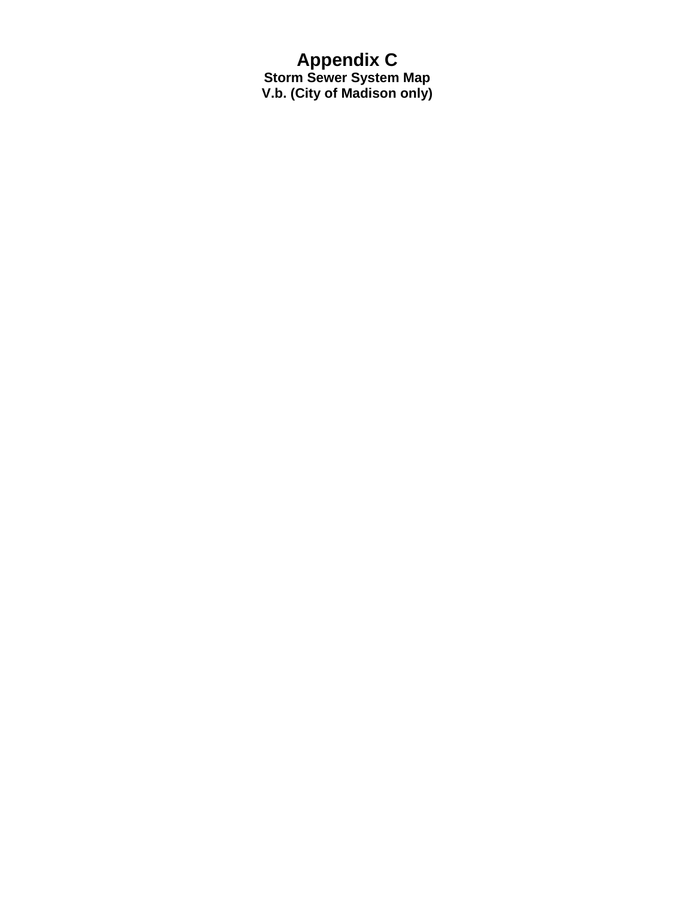## **Appendix C Storm Sewer System Map V.b. (City of Madison only)**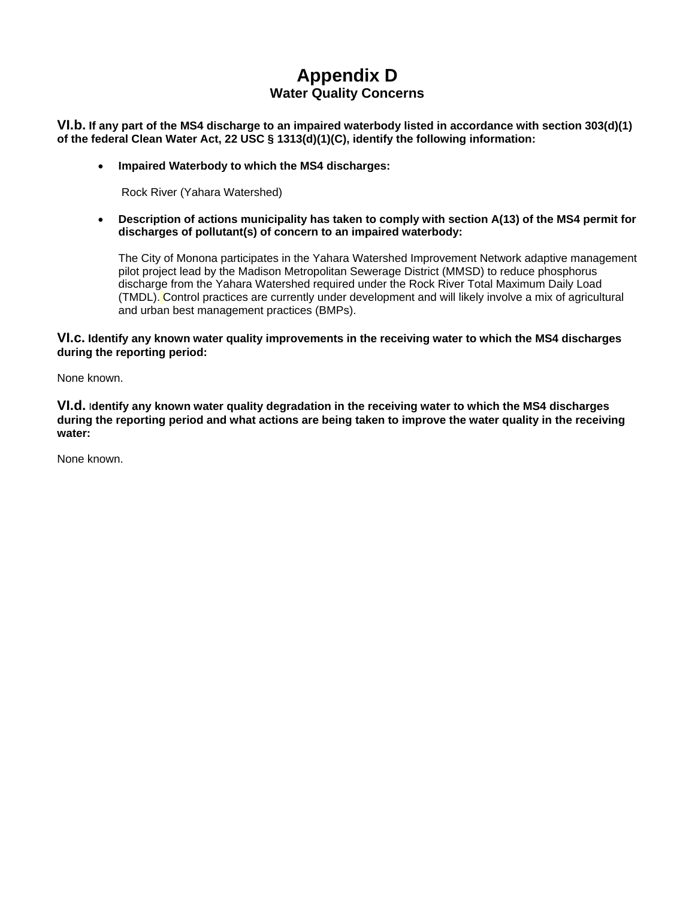# **Appendix D Water Quality Concerns**

**VI.b. If any part of the MS4 discharge to an impaired waterbody listed in accordance with section 303(d)(1) of the federal Clean Water Act, 22 USC § 1313(d)(1)(C), identify the following information:**

**Impaired Waterbody to which the MS4 discharges:** 

Rock River (Yahara Watershed)

 **Description of actions municipality has taken to comply with section A(13) of the MS4 permit for discharges of pollutant(s) of concern to an impaired waterbody:** 

The City of Monona participates in the Yahara Watershed Improvement Network adaptive management pilot project lead by the Madison Metropolitan Sewerage District (MMSD) to reduce phosphorus discharge from the Yahara Watershed required under the Rock River Total Maximum Daily Load (TMDL). Control practices are currently under development and will likely involve a mix of agricultural and urban best management practices (BMPs).

## **VI.c. Identify any known water quality improvements in the receiving water to which the MS4 discharges during the reporting period:**

None known.

**VI.d.** I**dentify any known water quality degradation in the receiving water to which the MS4 discharges during the reporting period and what actions are being taken to improve the water quality in the receiving water:** 

None known.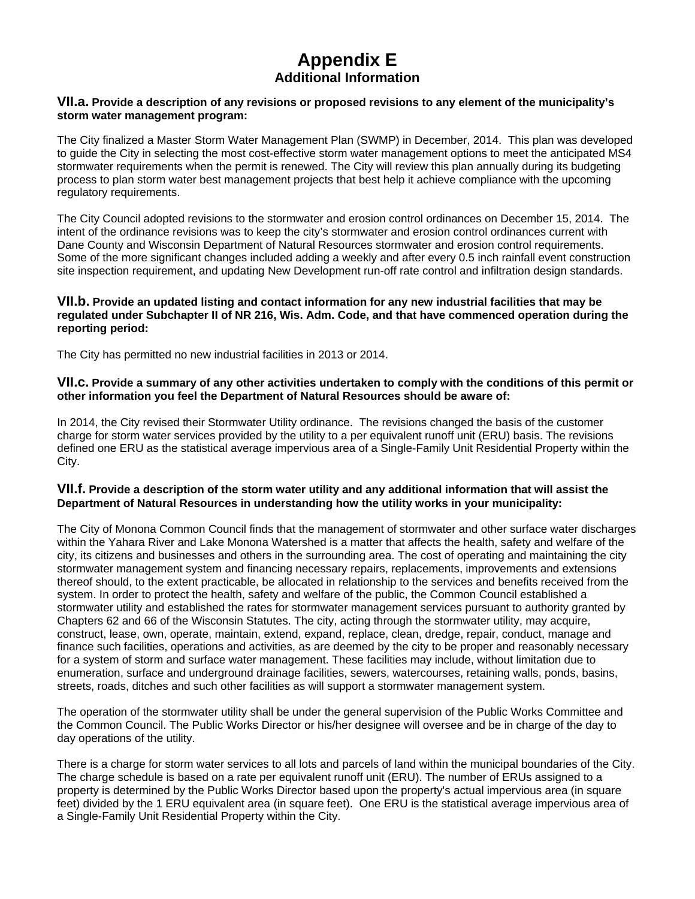# **Appendix E Additional Information**

#### **VII.a. Provide a description of any revisions or proposed revisions to any element of the municipality's storm water management program:**

The City finalized a Master Storm Water Management Plan (SWMP) in December, 2014. This plan was developed to guide the City in selecting the most cost-effective storm water management options to meet the anticipated MS4 stormwater requirements when the permit is renewed. The City will review this plan annually during its budgeting process to plan storm water best management projects that best help it achieve compliance with the upcoming regulatory requirements.

The City Council adopted revisions to the stormwater and erosion control ordinances on December 15, 2014. The intent of the ordinance revisions was to keep the city's stormwater and erosion control ordinances current with Dane County and Wisconsin Department of Natural Resources stormwater and erosion control requirements. Some of the more significant changes included adding a weekly and after every 0.5 inch rainfall event construction site inspection requirement, and updating New Development run-off rate control and infiltration design standards.

## **VII.b. Provide an updated listing and contact information for any new industrial facilities that may be regulated under Subchapter II of NR 216, Wis. Adm. Code, and that have commenced operation during the reporting period:**

The City has permitted no new industrial facilities in 2013 or 2014.

#### **VII.c. Provide a summary of any other activities undertaken to comply with the conditions of this permit or other information you feel the Department of Natural Resources should be aware of:**

In 2014, the City revised their Stormwater Utility ordinance. The revisions changed the basis of the customer charge for storm water services provided by the utility to a per equivalent runoff unit (ERU) basis. The revisions defined one ERU as the statistical average impervious area of a Single-Family Unit Residential Property within the City.

## **VII.f. Provide a description of the storm water utility and any additional information that will assist the Department of Natural Resources in understanding how the utility works in your municipality:**

The City of Monona Common Council finds that the management of stormwater and other surface water discharges within the Yahara River and Lake Monona Watershed is a matter that affects the health, safety and welfare of the city, its citizens and businesses and others in the surrounding area. The cost of operating and maintaining the city stormwater management system and financing necessary repairs, replacements, improvements and extensions thereof should, to the extent practicable, be allocated in relationship to the services and benefits received from the system. In order to protect the health, safety and welfare of the public, the Common Council established a stormwater utility and established the rates for stormwater management services pursuant to authority granted by Chapters 62 and 66 of the Wisconsin Statutes. The city, acting through the stormwater utility, may acquire, construct, lease, own, operate, maintain, extend, expand, replace, clean, dredge, repair, conduct, manage and finance such facilities, operations and activities, as are deemed by the city to be proper and reasonably necessary for a system of storm and surface water management. These facilities may include, without limitation due to enumeration, surface and underground drainage facilities, sewers, watercourses, retaining walls, ponds, basins, streets, roads, ditches and such other facilities as will support a stormwater management system.

The operation of the stormwater utility shall be under the general supervision of the Public Works Committee and the Common Council. The Public Works Director or his/her designee will oversee and be in charge of the day to day operations of the utility.

There is a charge for storm water services to all lots and parcels of land within the municipal boundaries of the City. The charge schedule is based on a rate per equivalent runoff unit (ERU). The number of ERUs assigned to a property is determined by the Public Works Director based upon the property's actual impervious area (in square feet) divided by the 1 ERU equivalent area (in square feet). One ERU is the statistical average impervious area of a Single-Family Unit Residential Property within the City.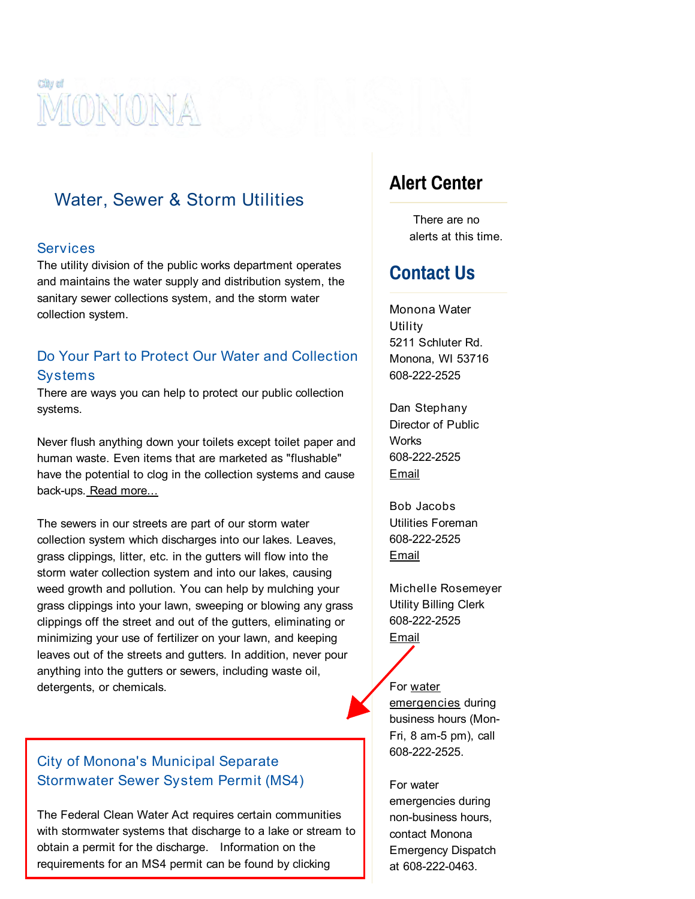

# Water, Sewer & Storm Utilities

## **Services**

The utility division of the public works department operates and maintains the water supply and distribution system, the sanitary sewer collections system, and the storm water collection system.

## Do Your Part to Protect Our Water and Collection **Systems**

There are ways you can help to protect our public collection systems.

Never flush anything down your toilets except toilet paper and human waste. Even items that are marketed as "flushable" have the potential to clog in the collection systems and cause back-ups. Read [more...](http://www.madsewer.org/Portals/0/Education/PollutionPrevention/MMSDDoNotFlush.pdf)

The sewers in our streets are part of our storm water collection system which discharges into our lakes. Leaves, grass clippings, litter, etc. in the gutters will flow into the storm water collection system and into our lakes, causing weed growth and pollution. You can help by mulching your grass clippings into your lawn, sweeping or blowing any grass clippings off the street and out of the gutters, eliminating or minimizing your use of fertilizer on your lawn, and keeping leaves out of the streets and gutters. In addition, never pour anything into the gutters or sewers, including waste oil, detergents, or chemicals.

## City of Monona's Municipal Separate Stormwater Sewer System Permit (MS4)

The Federal Clean Water Act requires certain communities with stormwater systems that discharge to a lake or stream to obtain a permit for the discharge. Information on the requirements for an MS4 permit can be found by clicking

# [Alert Center](http://www.mymonona.com/AlertCenter.aspx?CID=9,)

There are no alerts at this time.

# Contact Us

Monona Water Utility 5211 Schluter Rd. Monona, WI 53716 608-222-2525

Dan Stephany Director of Public **Works** 608-222-2525 [Email](mailto:%20dstephany@ci.monona.wi.us)

Bob Jacobs Utilities Foreman 608-222-2525 [Email](mailto:%20bjacobs@ci.monona.wi.us)

Michelle Rosemeyer Utility Billing Clerk 608-222-2525 **[Email](mailto:%20mrosemeyer@ci.monona.wi.us)** 

# For water

emergencies during business hours (Mon-Fri, 8 am-5 pm), call 608-222-2525.

For water emergencies during non-business hours, contact Monona Emergency Dispatch at 608-222-0463.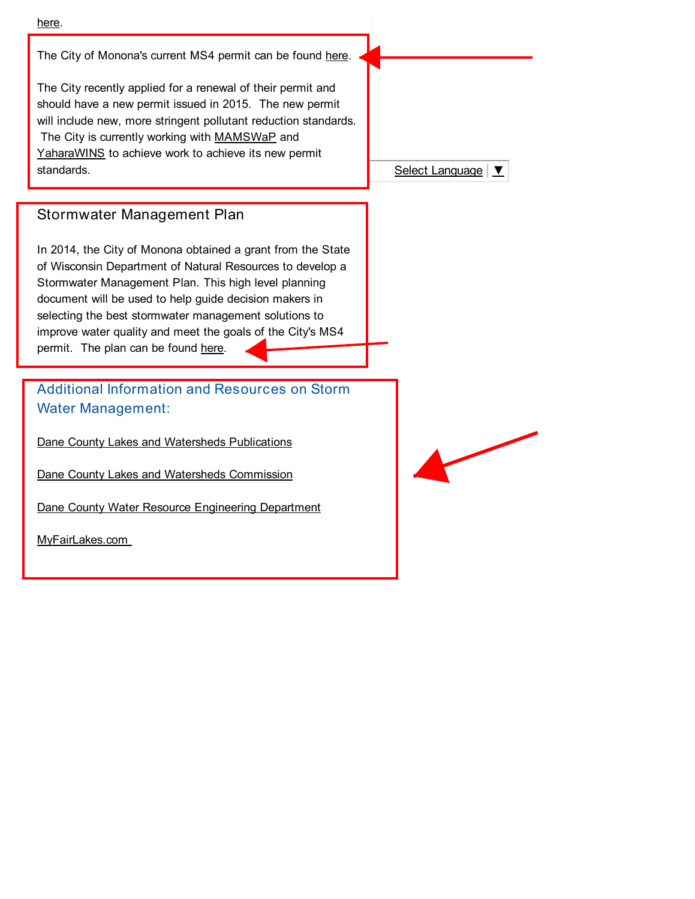

The City of Monona's current MS4 permit can be found [here.](http://www.mymonona.com/DocumentCenter/View/2727)

The City recently applied for a renewal of their permit and should have a new permit issued in 2015. The new permit will include new, more stringent pollutant reduction standards. The City is currently working with [MAMSWaP](http://www.myfairlakes.com/mamswap.aspx) and [YaharaWINS](http://www.madsewer.org/Programs-Initiatives/Yahara-WINs) to achieve work to achieve its new permit standards.

## Stormwater Management Plan

In 2014, the City of Monona obtained a grant from the State of Wisconsin Department of Natural Resources to develop a Stormwater Management Plan. This high level planning document will be used to help guide decision makers in selecting the best stormwater management solutions to improve water quality and meet the goals of the City's MS4 permit. The plan can be found [here.](http://www.mymonona.com/DocumentCenter/View/2728)

Additional Information and Resources on Storm Water Management:

Dane County Lakes and Watersheds [Publications](http://www.danewaters.com/press/brochures.aspx)

Dane County Lakes and Watersheds [Commission](http://www.danewaters.com/)

Dane County Water Resource [Engineering](http://lwrd.countyofdane.com/wred/default.aspx#container) Department

[MyFairLakes.com](http://www.myfairlakes.com/default.aspx)

Select [Language](javascript:void(0)) | ▼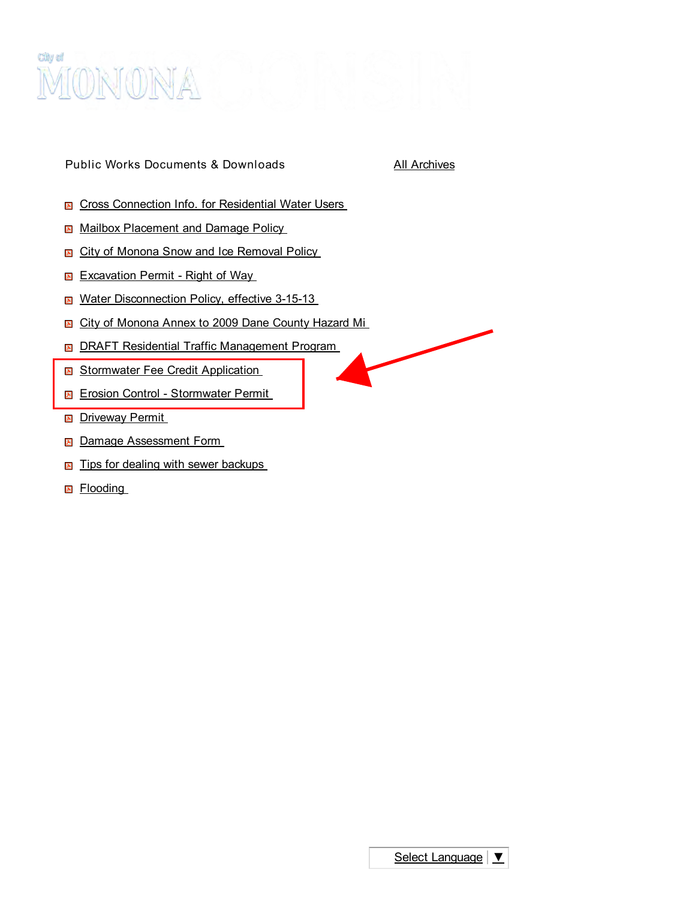

Public Works Documents & Downloads All [Archives](http://www.mymonona.com/Archive.aspx)

- **E** Cross [Connection](http://www.mymonona.com/Archive.aspx?ADID=91) Info. for Residential Water Users
- Mailbox [Placement](http://www.mymonona.com/Archive.aspx?ADID=98) and Damage Policy
- **E** City of Monona Snow and Ice [Removal](http://www.mymonona.com/Archive.aspx?ADID=90) Policy
- **[Excavation](http://www.mymonona.com/Archive.aspx?ADID=96) Permit Right of Way**
- Water [Disconnection](http://www.mymonona.com/Archive.aspx?ADID=101) Policy, effective 3-15-13
- **E** City of [Monona](http://www.mymonona.com/Archive.aspx?ADID=89) Annex to 2009 Dane County Hazard Mi
- **B** DRAFT Residential Traffic [Management](http://www.mymonona.com/Archive.aspx?ADID=93) Program
- [Stormwater](http://www.mymonona.com/Archive.aspx?ADID=99) Fee Credit Application
- **Exp.** Erosion Control [Stormwater](http://www.mymonona.com/Archive.aspx?ADID=95) Permit
- **B** [Driveway](http://www.mymonona.com/Archive.aspx?ADID=94) Permit
- **E Damage [Assessment](http://www.mymonona.com/Archive.aspx?ADID=92) Form**
- **E** Tips for dealing with sewer [backups](http://www.mymonona.com/Archive.aspx?ADID=100)
- **A** [Flooding](http://www.mymonona.com/Archive.aspx?ADID=97)

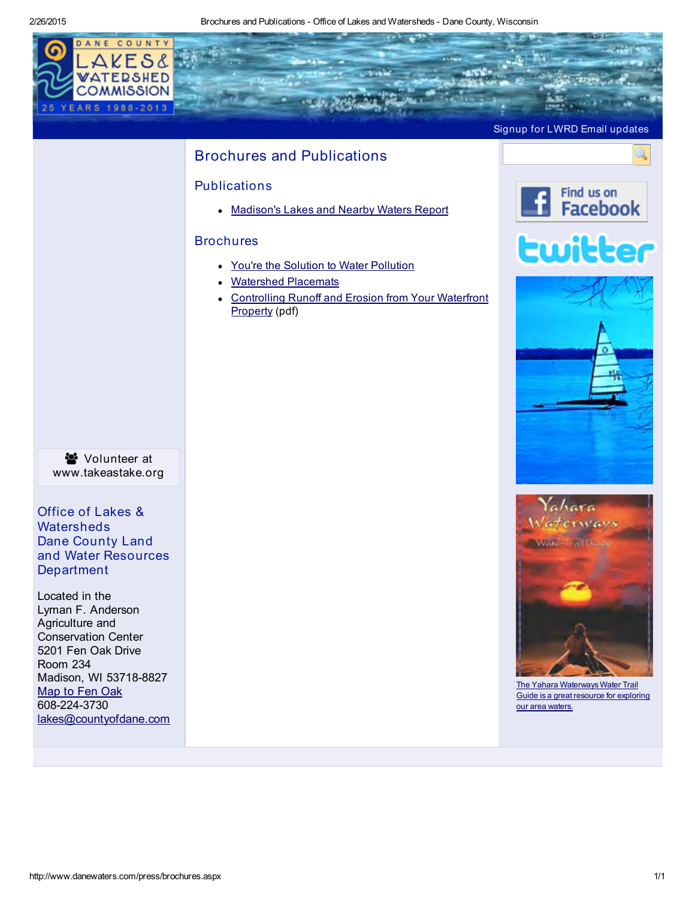2/26/2015 Brochures and Publications - Office of Lakes and Watersheds - Dane County, Wisconsin

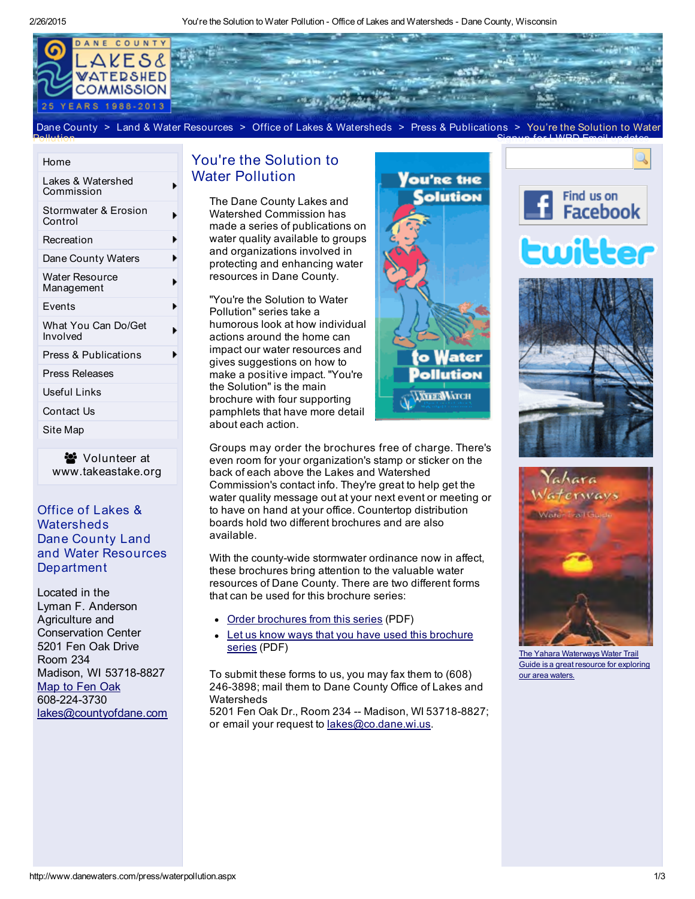2/26/2015 You're the Solution to Water Pollution - Office of Lakes and Watersheds - Dane County, Wisconsin



Dane [County](http://www.countyofdane.com/) > Land & Water [Resources](http://www.countyofdane.com/lwrd) > Office of Lakes & [Watersheds](http://www.danewaters.com/) > Press & [Publications](http://www.danewaters.com/press/default.aspx) > You're the Solution to Water

#### [Home](http://www.danewaters.com/default.aspx)

Pollution

| Lakes & Watershed<br>Commission     |  |
|-------------------------------------|--|
| Stormwater & Erosion<br>Control     |  |
| Recreation                          |  |
| Dane County Waters                  |  |
| <b>Water Resource</b><br>Management |  |
| Events                              |  |
| What You Can Do/Get<br>Involved     |  |
| Press & Publications                |  |
| Press Releases                      |  |
| Useful Links                        |  |
| Contact Us                          |  |
| Site Map                            |  |

 Volunteer at [www.takeastake.org](http://www.takeastake.org/)

## Office of Lakes & **Watersheds** Dane County Land and Water Resources **Department**

Located in the Lyman F. Anderson Agriculture and Conservation Center 5201 Fen Oak Drive Room 234 Madison, WI 53718-8827 [Map](http://www.danewaters.com/location.aspx) to Fen Oak 608-224-3730 [lakes@countyofdane.com](mailto:lakes@countyofdane.com)

## You're the Solution to Water [Pollution](http://www.danewaters.com/about/contact.aspx?a=0)

The Dane [County](http://www.danewaters.com/events/meetings.aspx) Lakes and Watershed [Commission](http://dnr.wi.gov/lakes/bluegreenalgae/?a=2) has made a series of [publicatio](http://www.danewaters.com/business/consultant.aspx)ns on water quality [available](http://www.publichealthmdc.com/environmental/water/beaches/) to groups and [organizations](http://lwrd.countyofdane.com/wred/Assistance/ec_manual.aspx) involved in protecting and [enhancing](http://www.myfairlakes.com/mamswap.aspx) [water](http://www.countyofdane.com/lwrd/parks/aquatic_plant_harvesting.aspx) [resources](http://www.danewaters.com/private/PropertyNumbering.aspx) in Dane County.

"You're the [Solution](http://www.myfairlakes.com/?a=1) to Water [Pollution"](http://www.danewaters.com/private/PropertyNumbering.aspx?a=0) series take a [humorous](http://www.danewaters.com/events/plantsale.aspx?a=0) look at how individual [actions](http://www.danewaters.com/resource/maps.aspx) around the home can impact our water [resources](http://www.danesheriff.com/marine_trail.aspx) and gives [suggestions](http://www.myfairlakes.com/plantDane.aspx?a=1) on how to make a [positive](http://www.danewaters.com/management/water_body_classification.aspx) impact. "You're the [Solution"](http://www.countyofdane.com/slow_no_wake.aspx) is the main [brochure](http://www.danewaters.com/nalms_info.aspx) with four supporti[ng](http://www.danewaters.com/YaharaLakes.aspx) [pamphlets](http://www.danewaters.com/resource/research_reports.aspx) that have more [detail](http://www.danewaters.com/events/PaddleToWork.aspx) about each [action.](http://www.countyofdane.com/lwrd/landconservation/ylag.aspx)



[Groups](http://www.danewaters.com/YaharaLakesLegacyPartnership.aspx) may order the brochures free of [charge.](http://www.danewaters.com/events/awards.aspx?a=0) There's even room for your [organiz](http://www.countyofdane.com/lwrd/parks/aquatic_plant_harvesting.aspx?a=0)ation's stamp or sticker on the back of each [above](http://www.danewaters.com/articles/WilliamsonBridge.aspx?a=0) the Lakes and [Watershed](http://www.danewaters.com/events/tas.aspx) [Commission's](http://www.danewaters.com/resource/YaharaWatershedInitiativesBriefings.aspx) contact info. [They're](http://pdf.countyofdane.com/myfairlakes/2012_Plant_Dane_workshop_brochure.pdf) great to help get the water quality [message](http://www.danewaters.com/private/teachers.aspx) out at your next event or [meeting](http://www.danewaters.com/events/tslSchedule.aspx) or to have on hand at your office. [Countertop](http://www.danewaters.com/articles/WhatKindOfLakes.aspx) distribution boards hold two [different](http://www.danewaters.com/articles/Shoreland.aspx) b[rochures](http://pdf.countyofdane.com/lwrd/lakes/TAS_Event_Form.pdf) and are also [available.](http://www.danewaters.com/business/danestewards.aspx)

With the county-wide stormwater [ordinance](http://www.danewaters.com/articles/WilliamsonBridge.aspx) now in affect, these brochures bring attention to the [valuable](http://www.danewaters.com/articles/HistoryandSetting.aspx) water resources of Dane County. There are two different forms that can be used for this brochure series:

- Order [brochures](http://www.danewaters.com/pdf/20030731_ytsorderform.pdf) from this series (PDF)
- Let us know ways that you have used this [brochure](http://www.danewaters.com/pdf/20030731_ytsuseform.pdf) series (PDF)

To submit these forms to us, you may fax them to (608) 246-3898; mail them to Dane County Office of Lakes and **Watersheds** 

5201 Fen Oak Dr., Room 234 -- Madison, WI 53718-8827; or email your request to [lakes@co.dane.wi.us.](mailto:lakes@co.dane.wi.us)



Signup for LWRD Email [updates](http://visitor.r20.constantcontact.com/d.jsp?llr=yvz78crab&p=oi&m=1117861603000&sit=7bjl8n7ib&f=edc69054-fcdf-4d7c-b016-b2f6af1ec834)



The Yahara [Waterways](http://www.danewaters.com/YaharaWaterTrail.aspx) Water Trail Guide is a great rest our area waters.